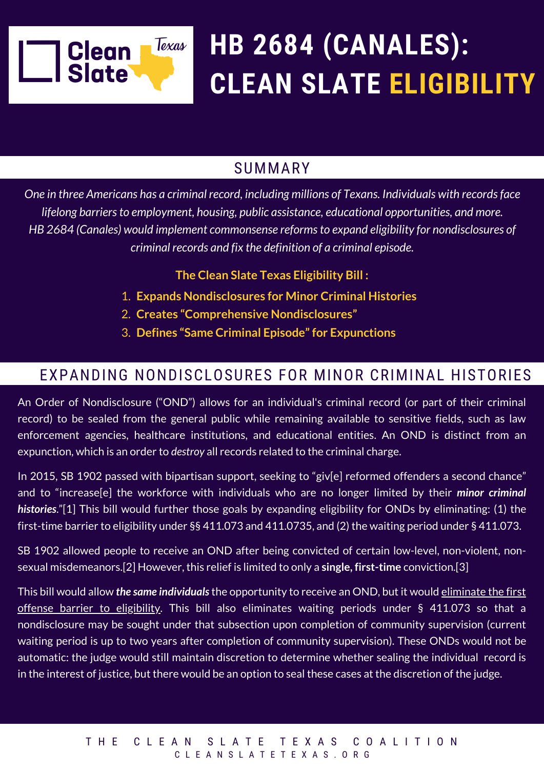

# **HB 2684 (CANALES): CLEAN SLATE ELIGIBILITY**

### SUMMARY

*One in three Americans has a criminal record, including millions of Texans. Individuals with recordsface lifelong barriersto employment, housing, public assistance, educational opportunities, and more. HB 2684 (Canales) would implement commonsense reformsto expand eligibility for nondisclosures of criminal records and fix the definition of a criminal episode.*

**The Clean Slate Texas Eligibility Bill :**

- **Expands Nondisclosures for Minor Criminal Histories** 1.
- **Creates "Comprehensive Nondisclosures"** 2.
- **Defines "Same Criminal Episode"for Expunctions** 3.

### EXPANDING NONDISCLOSURES FOR MINOR CRIMINAL HISTORIES

An Order of Nondisclosure ("OND") allows for an individual's criminal record (or part of their criminal record) to be sealed from the general public while remaining available to sensitive fields, such as law enforcement agencies, healthcare institutions, and educational entities. An OND is distinct from an expunction, which is an order to *destroy* all records related to the criminal charge.

In 2015, SB 1902 passed with bipartisan support, seeking to "giv[e] reformed offenders a second chance" and to "increase[e] the workforce with individuals who are no longer limited by their *minor criminal histories*."[1] This bill would further those goals by expanding eligibility for ONDs by eliminating: (1) the first-time barrier to eligibility under §§ 411.073 and 411.0735, and (2) the waiting period under § 411.073.

SB 1902 allowed people to receive an OND after being convicted of certain low-level, non-violent, nonsexual misdemeanors.[2] However, this relief is limited to only a **single, first-time** conviction.[3]

This bill would allow *the same individuals*the opportunity to receive an OND, but it would eliminate the first offense barrier to eligibility. This bill also eliminates waiting periods under § 411.073 so that a nondisclosure may be sought under that subsection upon completion of community supervision (current waiting period is up to two years after completion of community supervision). These ONDs would not be automatic: the judge would still maintain discretion to determine whether sealing the individual record is in the interest of justice, but there would be an option to seal these cases at the discretion of the judge.